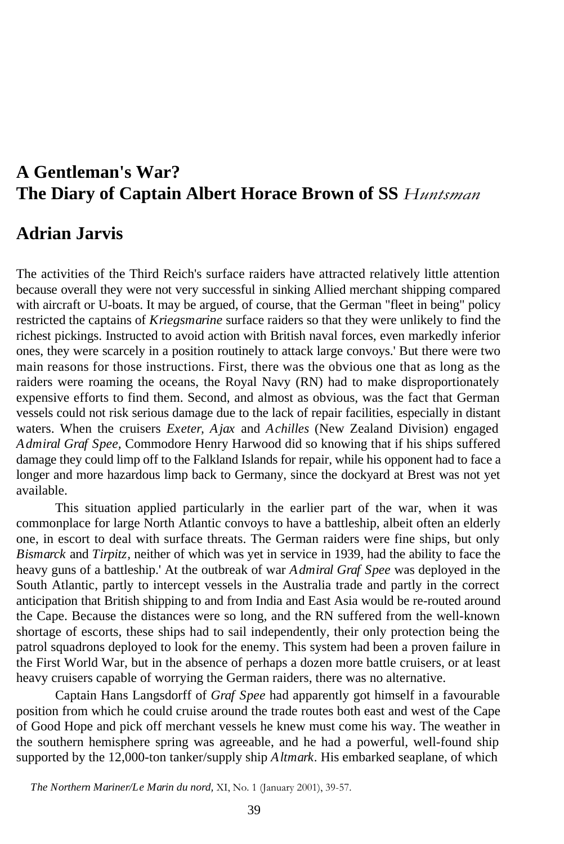# **A Gentleman's War? The Diary of Captain Albert Horace Brown of SS** *Huntsman*

## **Adrian Jarvis**

The activities of the Third Reich's surface raiders have attracted relatively little attention because overall they were not very successful in sinking Allied merchant shipping compared with aircraft or U-boats. It may be argued, of course, that the German "fleet in being" policy restricted the captains of *Kriegsmarine* surface raiders so that they were unlikely to find the richest pickings. Instructed to avoid action with British naval forces, even markedly inferior ones, they were scarcely in a position routinely to attack large convoys.' But there were two main reasons for those instructions. First, there was the obvious one that as long as the raiders were roaming the oceans, the Royal Navy (RN) had to make disproportionately expensive efforts to find them. Second, and almost as obvious, was the fact that German vessels could not risk serious damage due to the lack of repair facilities, especially in distant waters. When the cruisers *Exeter, Ajax* and *Achilles* (New Zealand Division) engaged *Admiral Graf Spee,* Commodore Henry Harwood did so knowing that if his ships suffered damage they could limp off to the Falkland Islands for repair, while his opponent had to face a longer and more hazardous limp back to Germany, since the dockyard at Brest was not yet available.

This situation applied particularly in the earlier part of the war, when it was commonplace for large North Atlantic convoys to have a battleship, albeit often an elderly one, in escort to deal with surface threats. The German raiders were fine ships, but only *Bismarck* and *Tirpitz,* neither of which was yet in service in 1939, had the ability to face the heavy guns of a battleship.' At the outbreak of war *Admiral Graf Spee* was deployed in the South Atlantic, partly to intercept vessels in the Australia trade and partly in the correct anticipation that British shipping to and from India and East Asia would be re-routed around the Cape. Because the distances were so long, and the RN suffered from the well-known shortage of escorts, these ships had to sail independently, their only protection being the patrol squadrons deployed to look for the enemy. This system had been a proven failure in the First World War, but in the absence of perhaps a dozen more battle cruisers, or at least heavy cruisers capable of worrying the German raiders, there was no alternative.

Captain Hans Langsdorff of *Graf Spee* had apparently got himself in a favourable position from which he could cruise around the trade routes both east and west of the Cape of Good Hope and pick off merchant vessels he knew must come his way. The weather in the southern hemisphere spring was agreeable, and he had a powerful, well-found ship supported by the 12,000-ton tanker/supply ship *Altmark.* His embarked seaplane, of which

*The Northern Mariner/Le Marin du nord,* XI, No. 1 (January 2001), 39-57.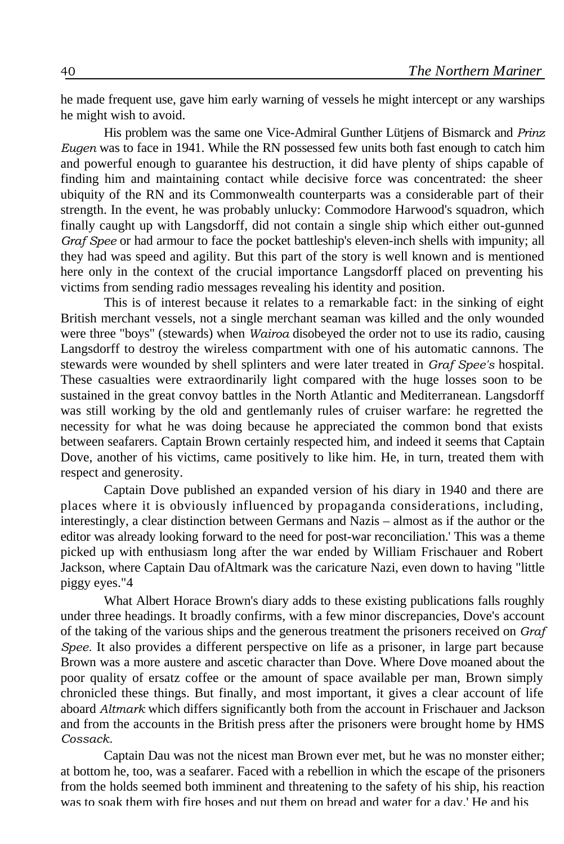he made frequent use, gave him early warning of vessels he might intercept or any warships he might wish to avoid.

His problem was the same one Vice-Admiral Gunther Lütjens of Bismarck and *Prinz Eugen* was to face in 1941. While the RN possessed few units both fast enough to catch him and powerful enough to guarantee his destruction, it did have plenty of ships capable of finding him and maintaining contact while decisive force was concentrated: the sheer ubiquity of the RN and its Commonwealth counterparts was a considerable part of their strength. In the event, he was probably unlucky: Commodore Harwood's squadron, which finally caught up with Langsdorff, did not contain a single ship which either out-gunned *Graf Spee* or had armour to face the pocket battleship's eleven-inch shells with impunity; all they had was speed and agility. But this part of the story is well known and is mentioned here only in the context of the crucial importance Langsdorff placed on preventing his victims from sending radio messages revealing his identity and position.

This is of interest because it relates to a remarkable fact: in the sinking of eight British merchant vessels, not a single merchant seaman was killed and the only wounded were three "boys" (stewards) when *Wairoa* disobeyed the order not to use its radio, causing Langsdorff to destroy the wireless compartment with one of his automatic cannons. The stewards were wounded by shell splinters and were later treated in *Graf Spee's* hospital. These casualties were extraordinarily light compared with the huge losses soon to be sustained in the great convoy battles in the North Atlantic and Mediterranean. Langsdorff was still working by the old and gentlemanly rules of cruiser warfare: he regretted the necessity for what he was doing because he appreciated the common bond that exists between seafarers. Captain Brown certainly respected him, and indeed it seems that Captain Dove, another of his victims, came positively to like him. He, in turn, treated them with respect and generosity.

Captain Dove published an expanded version of his diary in 1940 and there are places where it is obviously influenced by propaganda considerations, including, interestingly, a clear distinction between Germans and Nazis – almost as if the author or the editor was already looking forward to the need for post-war reconciliation.' This was a theme picked up with enthusiasm long after the war ended by William Frischauer and Robert Jackson, where Captain Dau ofAltmark was the caricature Nazi, even down to having "little piggy eyes."4

What Albert Horace Brown's diary adds to these existing publications falls roughly under three headings. It broadly confirms, with a few minor discrepancies, Dove's account of the taking of the various ships and the generous treatment the prisoners received on *Graf Spee.* It also provides a different perspective on life as a prisoner, in large part because Brown was a more austere and ascetic character than Dove. Where Dove moaned about the poor quality of ersatz coffee or the amount of space available per man, Brown simply chronicled these things. But finally, and most important, it gives a clear account of life aboard *Altmark* which differs significantly both from the account in Frischauer and Jackson and from the accounts in the British press after the prisoners were brought home by HMS *Cossack.*

Captain Dau was not the nicest man Brown ever met, but he was no monster either; at bottom he, too, was a seafarer. Faced with a rebellion in which the escape of the prisoners from the holds seemed both imminent and threatening to the safety of his ship, his reaction was to soak them with fire hoses and put them on bread and water for a day. He and his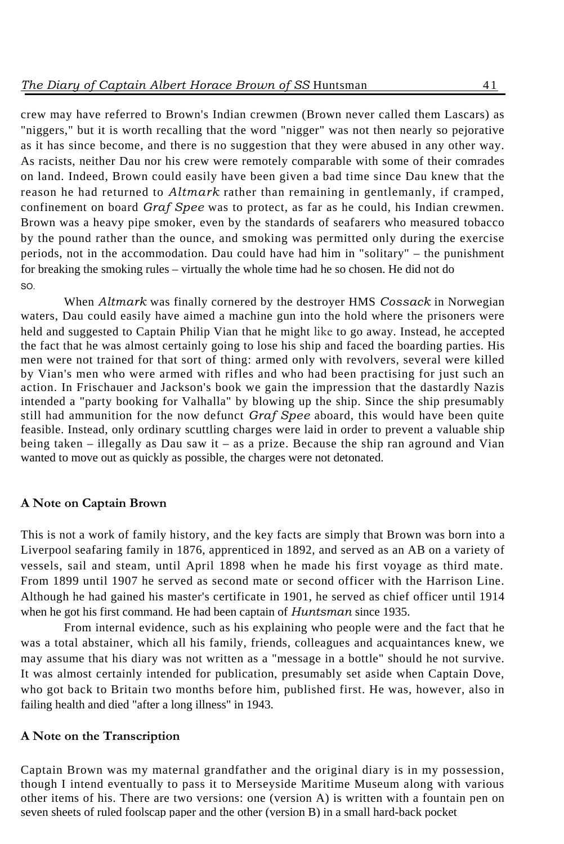crew may have referred to Brown's Indian crewmen (Brown never called them Lascars) as "niggers," but it is worth recalling that the word "nigger" was not then nearly so pejorative as it has since become, and there is no suggestion that they were abused in any other way. As racists, neither Dau nor his crew were remotely comparable with some of their comrades on land. Indeed, Brown could easily have been given a bad time since Dau knew that the reason he had returned to *Altmark* rather than remaining in gentlemanly, if cramped, confinement on board *Graf Spee* was to protect, as far as he could, his Indian crewmen. Brown was a heavy pipe smoker, even by the standards of seafarers who measured tobacco by the pound rather than the ounce, and smoking was permitted only during the exercise periods, not in the accommodation. Dau could have had him in "solitary" – the punishment for breaking the smoking rules – virtually the whole time had he so chosen. He did not do SO.

When *Altmark* was finally cornered by the destroyer HMS *Cossack* in Norwegian waters, Dau could easily have aimed a machine gun into the hold where the prisoners were held and suggested to Captain Philip Vian that he might like to go away. Instead, he accepted the fact that he was almost certainly going to lose his ship and faced the boarding parties. His men were not trained for that sort of thing: armed only with revolvers, several were killed by Vian's men who were armed with rifles and who had been practising for just such an action. In Frischauer and Jackson's book we gain the impression that the dastardly Nazis intended a "party booking for Valhalla" by blowing up the ship. Since the ship presumably still had ammunition for the now defunct *Graf Spee* aboard, this would have been quite feasible. Instead, only ordinary scuttling charges were laid in order to prevent a valuable ship being taken – illegally as Dau saw it – as a prize. Because the ship ran aground and Vian wanted to move out as quickly as possible, the charges were not detonated.

### **A Note on Captain Brown**

This is not a work of family history, and the key facts are simply that Brown was born into a Liverpool seafaring family in 1876, apprenticed in 1892, and served as an AB on a variety of vessels, sail and steam, until April 1898 when he made his first voyage as third mate. From 1899 until 1907 he served as second mate or second officer with the Harrison Line. Although he had gained his master's certificate in 1901, he served as chief officer until 1914 when he got his first command. He had been captain of *Huntsman* since 1935.

From internal evidence, such as his explaining who people were and the fact that he was a total abstainer, which all his family, friends, colleagues and acquaintances knew, we may assume that his diary was not written as a "message in a bottle" should he not survive. It was almost certainly intended for publication, presumably set aside when Captain Dove, who got back to Britain two months before him, published first. He was, however, also in failing health and died "after a long illness" in 1943.

### **A Note on the Transcription**

Captain Brown was my maternal grandfather and the original diary is in my possession, though I intend eventually to pass it to Merseyside Maritime Museum along with various other items of his. There are two versions: one (version A) is written with a fountain pen on seven sheets of ruled foolscap paper and the other (version B) in a small hard-back pocket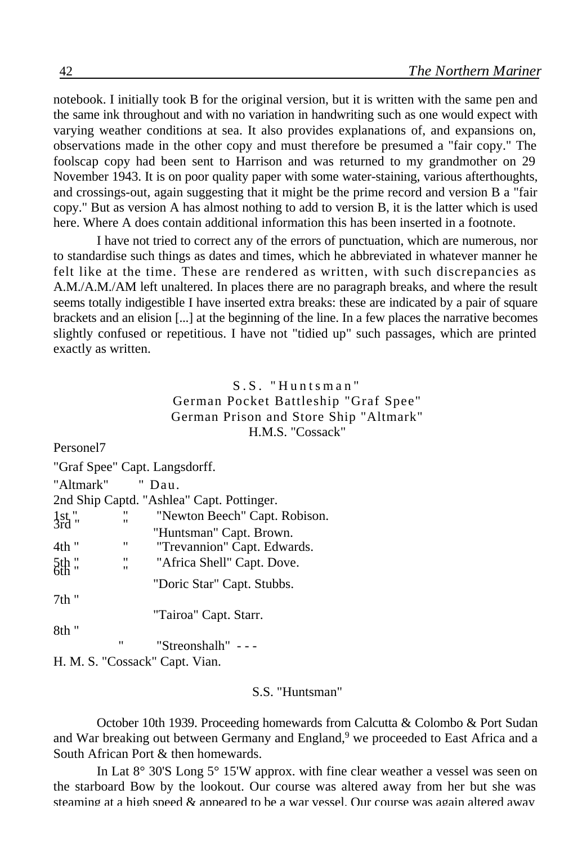notebook. I initially took B for the original version, but it is written with the same pen and the same ink throughout and with no variation in handwriting such as one would expect with varying weather conditions at sea. It also provides explanations of, and expansions on, observations made in the other copy and must therefore be presumed a "fair copy." The foolscap copy had been sent to Harrison and was returned to my grandmother on 29 November 1943. It is on poor quality paper with some water-staining, various afterthoughts, and crossings-out, again suggesting that it might be the prime record and version B a "fair copy." But as version A has almost nothing to add to version B, it is the latter which is used here. Where A does contain additional information this has been inserted in a footnote.

I have not tried to correct any of the errors of punctuation, which are numerous, nor to standardise such things as dates and times, which he abbreviated in whatever manner he felt like at the time. These are rendered as written, with such discrepancies as A.M./A.M./AM left unaltered. In places there are no paragraph breaks, and where the result seems totally indigestible I have inserted extra breaks: these are indicated by a pair of square brackets and an elision [...] at the beginning of the line. In a few places the narrative becomes slightly confused or repetitious. I have not "tidied up" such passages, which are printed exactly as written.

> S.S. "Huntsman" German Pocket Battleship "Graf Spee" German Prison and Store Ship "Altmark" H.M.S. "Cossack"

Personel7 "Graf Spee" Capt. Langsdorff. "Altmark" " Dau. 2nd Ship Captd. "Ashlea" Capt. Pottinger. 1st " " " Newton Beech" Capt. Robison.<br>3rd " " " " " Newton Beech" Capt. Robison. "Huntsman" Capt. Brown. 4th " "Trevannion" Capt. Edwards. 5th " " Africa Shell" Capt. Dove. "Doric Star" Capt. Stubbs. 7th " "Tairoa" Capt. Starr. 8th " " "Streonshalh" - - - H. M. S. "Cossack" Capt. Vian.

## S.S. "Huntsman"

October 10th 1939. Proceeding homewards from Calcutta & Colombo & Port Sudan and War breaking out between Germany and England,<sup>9</sup> we proceeded to East Africa and a South African Port & then homewards.

In Lat 8° 30'S Long 5° 15'W approx. with fine clear weather a vessel was seen on the starboard Bow by the lookout. Our course was altered away from her but she was steaming at a high speed  $\&$  appeared to be a war vessel. Our course was again altered away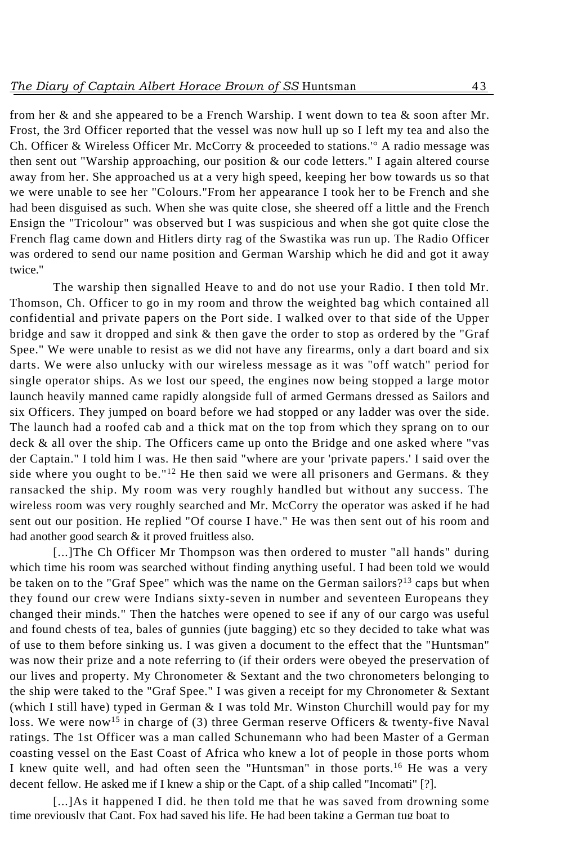from her & and she appeared to be a French Warship. I went down to tea & soon after Mr. Frost, the 3rd Officer reported that the vessel was now hull up so I left my tea and also the Ch. Officer & Wireless Officer Mr. McCorry & proceeded to stations.'° A radio message was then sent out "Warship approaching, our position & our code letters." I again altered course away from her. She approached us at a very high speed, keeping her bow towards us so that we were unable to see her "Colours."From her appearance I took her to be French and she had been disguised as such. When she was quite close, she sheered off a little and the French Ensign the "Tricolour" was observed but I was suspicious and when she got quite close the French flag came down and Hitlers dirty rag of the Swastika was run up. The Radio Officer was ordered to send our name position and German Warship which he did and got it away twice.''

The warship then signalled Heave to and do not use your Radio. I then told Mr. Thomson, Ch. Officer to go in my room and throw the weighted bag which contained all confidential and private papers on the Port side. I walked over to that side of the Upper bridge and saw it dropped and sink & then gave the order to stop as ordered by the "Graf Spee." We were unable to resist as we did not have any firearms, only a dart board and six darts. We were also unlucky with our wireless message as it was "off watch" period for single operator ships. As we lost our speed, the engines now being stopped a large motor launch heavily manned came rapidly alongside full of armed Germans dressed as Sailors and six Officers. They jumped on board before we had stopped or any ladder was over the side. The launch had a roofed cab and a thick mat on the top from which they sprang on to our deck & all over the ship. The Officers came up onto the Bridge and one asked where "vas der Captain." I told him I was. He then said "where are your 'private papers.' I said over the side where you ought to be."<sup>12</sup> He then said we were all prisoners and Germans.  $\&$  they ransacked the ship. My room was very roughly handled but without any success. The wireless room was very roughly searched and Mr. McCorry the operator was asked if he had sent out our position. He replied "Of course I have." He was then sent out of his room and had another good search & it proved fruitless also.

[...]The Ch Officer Mr Thompson was then ordered to muster "all hands" during which time his room was searched without finding anything useful. I had been told we would be taken on to the "Graf Spee" which was the name on the German sailors?<sup>13</sup> caps but when they found our crew were Indians sixty-seven in number and seventeen Europeans they changed their minds." Then the hatches were opened to see if any of our cargo was useful and found chests of tea, bales of gunnies (jute bagging) etc so they decided to take what was of use to them before sinking us. I was given a document to the effect that the "Huntsman" was now their prize and a note referring to (if their orders were obeyed the preservation of our lives and property. My Chronometer & Sextant and the two chronometers belonging to the ship were taked to the "Graf Spee." I was given a receipt for my Chronometer & Sextant (which I still have) typed in German & I was told Mr. Winston Churchill would pay for my loss. We were now<sup>15</sup> in charge of (3) three German reserve Officers & twenty-five Naval ratings. The 1st Officer was a man called Schunemann who had been Master of a German coasting vessel on the East Coast of Africa who knew a lot of people in those ports whom I knew quite well, and had often seen the "Huntsman" in those ports.<sup>16</sup> He was a very decent fellow. He asked me if I knew a ship or the Capt. of a ship called "Incomati" [?].

[...] As it happened I did, he then told me that he was saved from drowning some time previously that Capt. Fox had saved his life. He had been taking a German tug boat to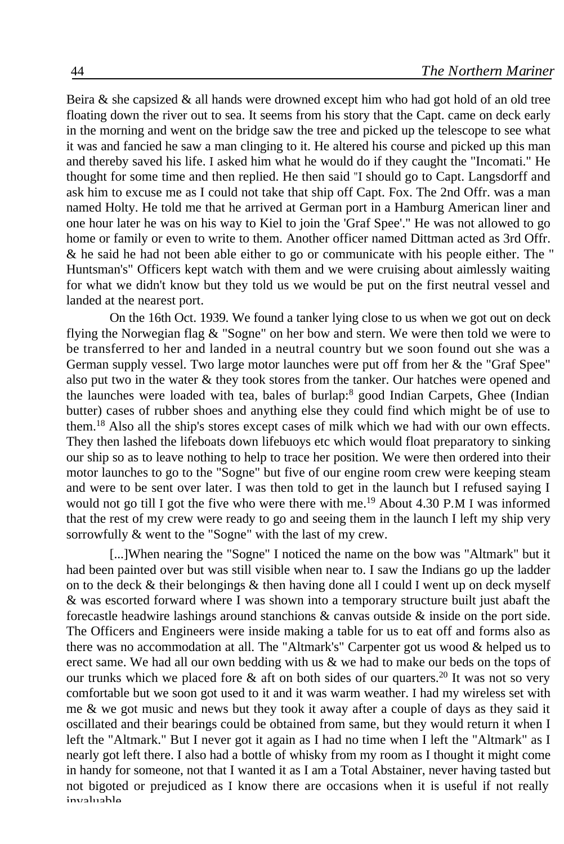Beira  $\&$  she capsized  $\&$  all hands were drowned except him who had got hold of an old tree floating down the river out to sea. It seems from his story that the Capt. came on deck early in the morning and went on the bridge saw the tree and picked up the telescope to see what it was and fancied he saw a man clinging to it. He altered his course and picked up this man and thereby saved his life. I asked him what he would do if they caught the "Incomati." He thought for some time and then replied. He then said "I should go to Capt. Langsdorff and ask him to excuse me as I could not take that ship off Capt. Fox. The 2nd Offr. was a man named Holty. He told me that he arrived at German port in a Hamburg American liner and one hour later he was on his way to Kiel to join the 'Graf Spee'." He was not allowed to go home or family or even to write to them. Another officer named Dittman acted as 3rd Offr. & he said he had not been able either to go or communicate with his people either. The " Huntsman's" Officers kept watch with them and we were cruising about aimlessly waiting for what we didn't know but they told us we would be put on the first neutral vessel and landed at the nearest port.

On the 16th Oct. 1939. We found a tanker lying close to us when we got out on deck flying the Norwegian flag & "Sogne" on her bow and stern. We were then told we were to be transferred to her and landed in a neutral country but we soon found out she was a German supply vessel. Two large motor launches were put off from her & the "Graf Spee" also put two in the water & they took stores from the tanker. Our hatches were opened and the launches were loaded with tea, bales of burlap:<sup>8</sup> good Indian Carpets, Ghee (Indian butter) cases of rubber shoes and anything else they could find which might be of use to them.<sup>18</sup> Also all the ship's stores except cases of milk which we had with our own effects. They then lashed the lifeboats down lifebuoys etc which would float preparatory to sinking our ship so as to leave nothing to help to trace her position. We were then ordered into their motor launches to go to the "Sogne" but five of our engine room crew were keeping steam and were to be sent over later. I was then told to get in the launch but I refused saying I would not go till I got the five who were there with me.<sup>19</sup> About 4.30 P.M I was informed that the rest of my crew were ready to go and seeing them in the launch I left my ship very sorrowfully & went to the "Sogne" with the last of my crew.

[...]When nearing the "Sogne" I noticed the name on the bow was "Altmark" but it had been painted over but was still visible when near to. I saw the Indians go up the ladder on to the deck  $\&$  their belongings  $\&$  then having done all I could I went up on deck myself & was escorted forward where I was shown into a temporary structure built just abaft the forecastle headwire lashings around stanchions & canvas outside & inside on the port side. The Officers and Engineers were inside making a table for us to eat off and forms also as there was no accommodation at all. The "Altmark's" Carpenter got us wood & helped us to erect same. We had all our own bedding with us & we had to make our beds on the tops of our trunks which we placed fore  $\&$  aft on both sides of our quarters.<sup>20</sup> It was not so very comfortable but we soon got used to it and it was warm weather. I had my wireless set with me  $\&$  we got music and news but they took it away after a couple of days as they said it oscillated and their bearings could be obtained from same, but they would return it when I left the "Altmark." But I never got it again as I had no time when I left the "Altmark" as I nearly got left there. I also had a bottle of whisky from my room as I thought it might come in handy for someone, not that I wanted it as I am a Total Abstainer, never having tasted but not bigoted or prejudiced as I know there are occasions when it is useful if not really invaluable.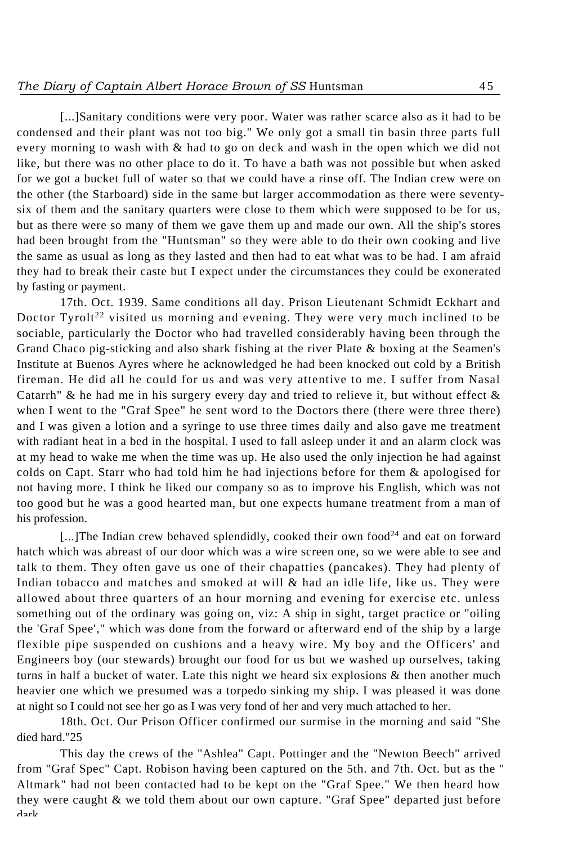[...]Sanitary conditions were very poor. Water was rather scarce also as it had to be condensed and their plant was not too big." We only got a small tin basin three parts full every morning to wash with & had to go on deck and wash in the open which we did not like, but there was no other place to do it. To have a bath was not possible but when asked for we got a bucket full of water so that we could have a rinse off. The Indian crew were on the other (the Starboard) side in the same but larger accommodation as there were seventysix of them and the sanitary quarters were close to them which were supposed to be for us, but as there were so many of them we gave them up and made our own. All the ship's stores had been brought from the "Huntsman" so they were able to do their own cooking and live the same as usual as long as they lasted and then had to eat what was to be had. I am afraid they had to break their caste but I expect under the circumstances they could be exonerated by fasting or payment.

17th. Oct. 1939. Same conditions all day. Prison Lieutenant Schmidt Eckhart and Doctor Tyrolt<sup>22</sup> visited us morning and evening. They were very much inclined to be sociable, particularly the Doctor who had travelled considerably having been through the Grand Chaco pig-sticking and also shark fishing at the river Plate & boxing at the Seamen's Institute at Buenos Ayres where he acknowledged he had been knocked out cold by a British fireman. He did all he could for us and was very attentive to me. I suffer from Nasal Catarrh" & he had me in his surgery every day and tried to relieve it, but without effect  $\&$ when I went to the "Graf Spee" he sent word to the Doctors there (there were three there) and I was given a lotion and a syringe to use three times daily and also gave me treatment with radiant heat in a bed in the hospital. I used to fall asleep under it and an alarm clock was at my head to wake me when the time was up. He also used the only injection he had against colds on Capt. Starr who had told him he had injections before for them & apologised for not having more. I think he liked our company so as to improve his English, which was not too good but he was a good hearted man, but one expects humane treatment from a man of his profession.

[...]The Indian crew behaved splendidly, cooked their own food<sup>24</sup> and eat on forward hatch which was abreast of our door which was a wire screen one, so we were able to see and talk to them. They often gave us one of their chapatties (pancakes). They had plenty of Indian tobacco and matches and smoked at will & had an idle life, like us. They were allowed about three quarters of an hour morning and evening for exercise etc. unless something out of the ordinary was going on, viz: A ship in sight, target practice or "oiling the 'Graf Spee'," which was done from the forward or afterward end of the ship by a large flexible pipe suspended on cushions and a heavy wire. My boy and the Officers' and Engineers boy (our stewards) brought our food for us but we washed up ourselves, taking turns in half a bucket of water. Late this night we heard six explosions & then another much heavier one which we presumed was a torpedo sinking my ship. I was pleased it was done at night so I could not see her go as I was very fond of her and very much attached to her.

18th. Oct. Our Prison Officer confirmed our surmise in the morning and said "She died hard."25

This day the crews of the "Ashlea" Capt. Pottinger and the "Newton Beech" arrived from "Graf Spec" Capt. Robison having been captured on the 5th. and 7th. Oct. but as the " Altmark" had not been contacted had to be kept on the "Graf Spee." We then heard how they were caught & we told them about our own capture. "Graf Spee" departed just before dark.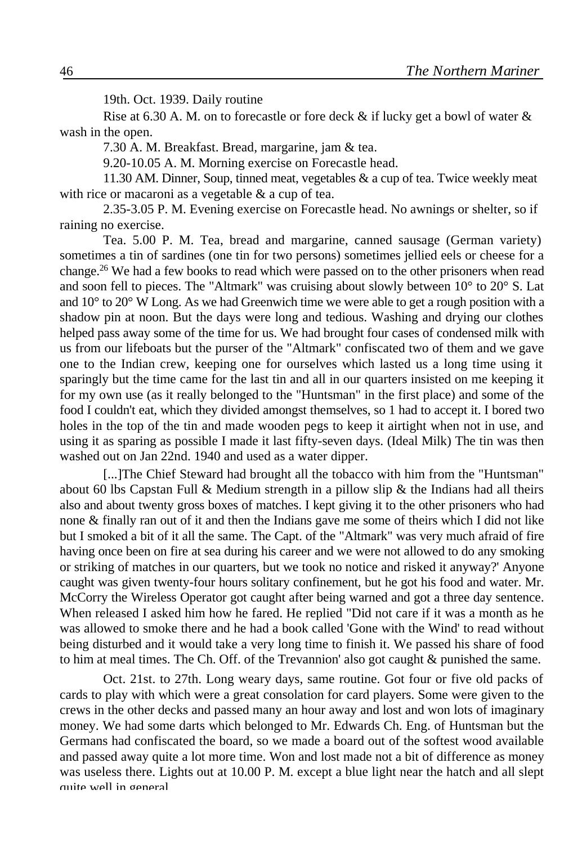19th. Oct. 1939. Daily routine

Rise at 6.30 A. M. on to forecastle or fore deck  $\&$  if lucky get a bowl of water  $\&$ wash in the open.

7.30 A. M. Breakfast. Bread, margarine, jam & tea.

9.20-10.05 A. M. Morning exercise on Forecastle head.

11.30 AM. Dinner, Soup, tinned meat, vegetables & a cup of tea. Twice weekly meat with rice or macaroni as a vegetable & a cup of tea.

2.35-3.05 P. M. Evening exercise on Forecastle head. No awnings or shelter, so if raining no exercise.

Tea. 5.00 P. M. Tea, bread and margarine, canned sausage (German variety) sometimes a tin of sardines (one tin for two persons) sometimes jellied eels or cheese for a change.<sup>26</sup> We had a few books to read which were passed on to the other prisoners when read and soon fell to pieces. The "Altmark" was cruising about slowly between 10° to 20° S. Lat and  $10^{\circ}$  to  $20^{\circ}$  W Long. As we had Greenwich time we were able to get a rough position with a shadow pin at noon. But the days were long and tedious. Washing and drying our clothes helped pass away some of the time for us. We had brought four cases of condensed milk with us from our lifeboats but the purser of the "Altmark" confiscated two of them and we gave one to the Indian crew, keeping one for ourselves which lasted us a long time using it sparingly but the time came for the last tin and all in our quarters insisted on me keeping it for my own use (as it really belonged to the "Huntsman" in the first place) and some of the food I couldn't eat, which they divided amongst themselves, so 1 had to accept it. I bored two holes in the top of the tin and made wooden pegs to keep it airtight when not in use, and using it as sparing as possible I made it last fifty-seven days. (Ideal Milk) The tin was then washed out on Jan 22nd. 1940 and used as a water dipper.

[...]The Chief Steward had brought all the tobacco with him from the "Huntsman" about 60 lbs Capstan Full & Medium strength in a pillow slip & the Indians had all theirs also and about twenty gross boxes of matches. I kept giving it to the other prisoners who had none & finally ran out of it and then the Indians gave me some of theirs which I did not like but I smoked a bit of it all the same. The Capt. of the "Altmark" was very much afraid of fire having once been on fire at sea during his career and we were not allowed to do any smoking or striking of matches in our quarters, but we took no notice and risked it anyway?' Anyone caught was given twenty-four hours solitary confinement, but he got his food and water. Mr. McCorry the Wireless Operator got caught after being warned and got a three day sentence. When released I asked him how he fared. He replied "Did not care if it was a month as he was allowed to smoke there and he had a book called 'Gone with the Wind' to read without being disturbed and it would take a very long time to finish it. We passed his share of food to him at meal times. The Ch. Off. of the Trevannion' also got caught & punished the same.

Oct. 21st. to 27th. Long weary days, same routine. Got four or five old packs of cards to play with which were a great consolation for card players. Some were given to the crews in the other decks and passed many an hour away and lost and won lots of imaginary money. We had some darts which belonged to Mr. Edwards Ch. Eng. of Huntsman but the Germans had confiscated the board, so we made a board out of the softest wood available and passed away quite a lot more time. Won and lost made not a bit of difference as money was useless there. Lights out at 10.00 P. M. except a blue light near the hatch and all slept quite well in general.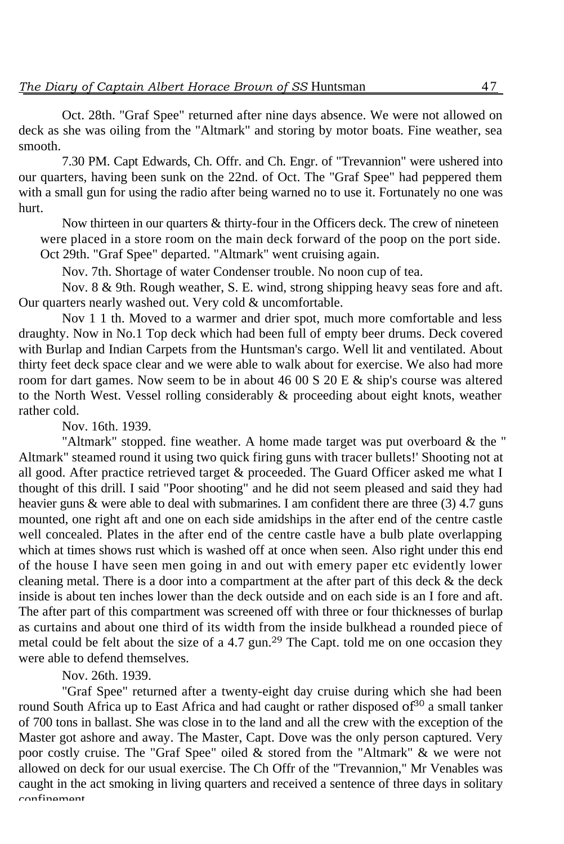Oct. 28th. "Graf Spee" returned after nine days absence. We were not allowed on deck as she was oiling from the "Altmark" and storing by motor boats. Fine weather, sea smooth.

7.30 PM. Capt Edwards, Ch. Offr. and Ch. Engr. of "Trevannion" were ushered into our quarters, having been sunk on the 22nd. of Oct. The "Graf Spee" had peppered them with a small gun for using the radio after being warned no to use it. Fortunately no one was hurt.

Now thirteen in our quarters & thirty-four in the Officers deck. The crew of nineteen were placed in a store room on the main deck forward of the poop on the port side. Oct 29th. "Graf Spee" departed. "Altmark" went cruising again.

Nov. 7th. Shortage of water Condenser trouble. No noon cup of tea.

Nov. 8 & 9th. Rough weather, S. E. wind, strong shipping heavy seas fore and aft. Our quarters nearly washed out. Very cold & uncomfortable.

Nov 1 1 th. Moved to a warmer and drier spot, much more comfortable and less draughty. Now in No.1 Top deck which had been full of empty beer drums. Deck covered with Burlap and Indian Carpets from the Huntsman's cargo. Well lit and ventilated. About thirty feet deck space clear and we were able to walk about for exercise. We also had more room for dart games. Now seem to be in about 46 00 S 20 E & ship's course was altered to the North West. Vessel rolling considerably & proceeding about eight knots, weather rather cold.

Nov. 16th. 1939.

"Altmark" stopped. fine weather. A home made target was put overboard  $\&$  the " Altmark" steamed round it using two quick firing guns with tracer bullets!' Shooting not at all good. After practice retrieved target & proceeded. The Guard Officer asked me what I thought of this drill. I said "Poor shooting" and he did not seem pleased and said they had heavier guns & were able to deal with submarines. I am confident there are three (3) 4.7 guns mounted, one right aft and one on each side amidships in the after end of the centre castle well concealed. Plates in the after end of the centre castle have a bulb plate overlapping which at times shows rust which is washed off at once when seen. Also right under this end of the house I have seen men going in and out with emery paper etc evidently lower cleaning metal. There is a door into a compartment at the after part of this deck & the deck inside is about ten inches lower than the deck outside and on each side is an I fore and aft. The after part of this compartment was screened off with three or four thicknesses of burlap as curtains and about one third of its width from the inside bulkhead a rounded piece of metal could be felt about the size of a 4.7 gun.<sup>29</sup> The Capt. told me on one occasion they were able to defend themselves.

Nov. 26th. 1939.

"Graf Spee" returned after a twenty-eight day cruise during which she had been round South Africa up to East Africa and had caught or rather disposed of<sup>30</sup> a small tanker of 700 tons in ballast. She was close in to the land and all the crew with the exception of the Master got ashore and away. The Master, Capt. Dove was the only person captured. Very poor costly cruise. The "Graf Spee" oiled  $\&$  stored from the "Altmark"  $\&$  we were not allowed on deck for our usual exercise. The Ch Offr of the "Trevannion," Mr Venables was caught in the act smoking in living quarters and received a sentence of three days in solitary confinement.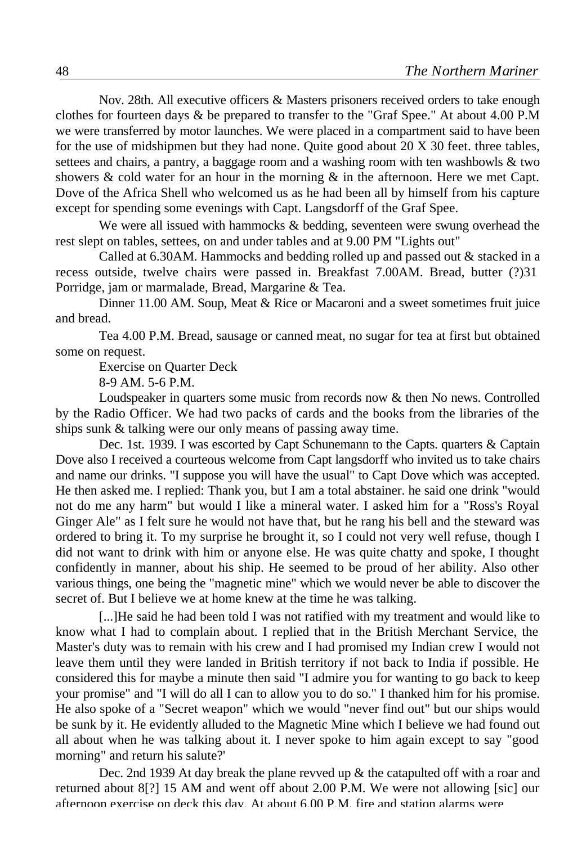Nov. 28th. All executive officers & Masters prisoners received orders to take enough clothes for fourteen days & be prepared to transfer to the "Graf Spee." At about 4.00 P.M we were transferred by motor launches. We were placed in a compartment said to have been for the use of midshipmen but they had none. Quite good about 20 X 30 feet. three tables, settees and chairs, a pantry, a baggage room and a washing room with ten washbowls & two showers  $\&$  cold water for an hour in the morning  $\&$  in the afternoon. Here we met Capt. Dove of the Africa Shell who welcomed us as he had been all by himself from his capture except for spending some evenings with Capt. Langsdorff of the Graf Spee.

We were all issued with hammocks  $&$  bedding, seventeen were swung overhead the rest slept on tables, settees, on and under tables and at 9.00 PM "Lights out"

Called at 6.30AM. Hammocks and bedding rolled up and passed out & stacked in a recess outside, twelve chairs were passed in. Breakfast 7.00AM. Bread, butter (?)31 Porridge, jam or marmalade, Bread, Margarine & Tea.

Dinner 11.00 AM. Soup, Meat & Rice or Macaroni and a sweet sometimes fruit juice and bread.

Tea 4.00 P.M. Bread, sausage or canned meat, no sugar for tea at first but obtained some on request.

Exercise on Quarter Deck

8-9 AM. 5-6 P.M.

Loudspeaker in quarters some music from records now & then No news. Controlled by the Radio Officer. We had two packs of cards and the books from the libraries of the ships sunk & talking were our only means of passing away time.

Dec. 1st. 1939. I was escorted by Capt Schunemann to the Capts. quarters & Captain Dove also I received a courteous welcome from Capt langsdorff who invited us to take chairs and name our drinks. "I suppose you will have the usual" to Capt Dove which was accepted. He then asked me. I replied: Thank you, but I am a total abstainer. he said one drink "would not do me any harm" but would I like a mineral water. I asked him for a "Ross's Royal Ginger Ale" as I felt sure he would not have that, but he rang his bell and the steward was ordered to bring it. To my surprise he brought it, so I could not very well refuse, though I did not want to drink with him or anyone else. He was quite chatty and spoke, I thought confidently in manner, about his ship. He seemed to be proud of her ability. Also other various things, one being the "magnetic mine" which we would never be able to discover the secret of. But I believe we at home knew at the time he was talking.

[...]He said he had been told I was not ratified with my treatment and would like to know what I had to complain about. I replied that in the British Merchant Service, the Master's duty was to remain with his crew and I had promised my Indian crew I would not leave them until they were landed in British territory if not back to India if possible. He considered this for maybe a minute then said "I admire you for wanting to go back to keep your promise" and "I will do all I can to allow you to do so." I thanked him for his promise. He also spoke of a "Secret weapon" which we would "never find out" but our ships would be sunk by it. He evidently alluded to the Magnetic Mine which I believe we had found out all about when he was talking about it. I never spoke to him again except to say "good morning" and return his salute?'

Dec. 2nd 1939 At day break the plane revved up  $\&$  the catapulted off with a roar and returned about 8[?] 15 AM and went off about 2.00 P.M. We were not allowing [sic] our afternoon exercise on deck this day. At about 6.00 P.M. fire and station alarms were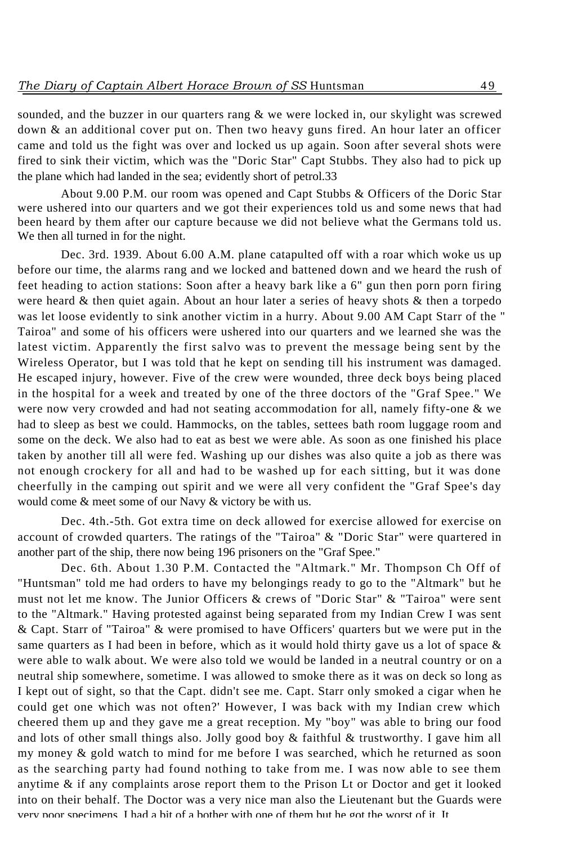sounded, and the buzzer in our quarters rang & we were locked in, our skylight was screwed down & an additional cover put on. Then two heavy guns fired. An hour later an officer came and told us the fight was over and locked us up again. Soon after several shots were fired to sink their victim, which was the "Doric Star" Capt Stubbs. They also had to pick up the plane which had landed in the sea; evidently short of petrol.33

About 9.00 P.M. our room was opened and Capt Stubbs & Officers of the Doric Star were ushered into our quarters and we got their experiences told us and some news that had been heard by them after our capture because we did not believe what the Germans told us. We then all turned in for the night.

Dec. 3rd. 1939. About 6.00 A.M. plane catapulted off with a roar which woke us up before our time, the alarms rang and we locked and battened down and we heard the rush of feet heading to action stations: Soon after a heavy bark like a 6" gun then porn porn firing were heard  $\&$  then quiet again. About an hour later a series of heavy shots  $\&$  then a torpedo was let loose evidently to sink another victim in a hurry. About 9.00 AM Capt Starr of the " Tairoa" and some of his officers were ushered into our quarters and we learned she was the latest victim. Apparently the first salvo was to prevent the message being sent by the Wireless Operator, but I was told that he kept on sending till his instrument was damaged. He escaped injury, however. Five of the crew were wounded, three deck boys being placed in the hospital for a week and treated by one of the three doctors of the "Graf Spee." We were now very crowded and had not seating accommodation for all, namely fifty-one & we had to sleep as best we could. Hammocks, on the tables, settees bath room luggage room and some on the deck. We also had to eat as best we were able. As soon as one finished his place taken by another till all were fed. Washing up our dishes was also quite a job as there was not enough crockery for all and had to be washed up for each sitting, but it was done cheerfully in the camping out spirit and we were all very confident the "Graf Spee's day would come & meet some of our Navy & victory be with us.

Dec. 4th.-5th. Got extra time on deck allowed for exercise allowed for exercise on account of crowded quarters. The ratings of the "Tairoa" & "Doric Star" were quartered in another part of the ship, there now being 196 prisoners on the "Graf Spee."

Dec. 6th. About 1.30 P.M. Contacted the "Altmark." Mr. Thompson Ch Off of "Huntsman" told me had orders to have my belongings ready to go to the "Altmark" but he must not let me know. The Junior Officers & crews of "Doric Star" & "Tairoa" were sent to the "Altmark." Having protested against being separated from my Indian Crew I was sent & Capt. Starr of "Tairoa" & were promised to have Officers' quarters but we were put in the same quarters as I had been in before, which as it would hold thirty gave us a lot of space  $\&$ were able to walk about. We were also told we would be landed in a neutral country or on a neutral ship somewhere, sometime. I was allowed to smoke there as it was on deck so long as I kept out of sight, so that the Capt. didn't see me. Capt. Starr only smoked a cigar when he could get one which was not often?' However, I was back with my Indian crew which cheered them up and they gave me a great reception. My "boy" was able to bring our food and lots of other small things also. Jolly good boy & faithful & trustworthy. I gave him all my money & gold watch to mind for me before I was searched, which he returned as soon as the searching party had found nothing to take from me. I was now able to see them anytime & if any complaints arose report them to the Prison Lt or Doctor and get it looked into on their behalf. The Doctor was a very nice man also the Lieutenant but the Guards were very poor specimens. I had a bit of a bother with one of them but he got the worst of it. It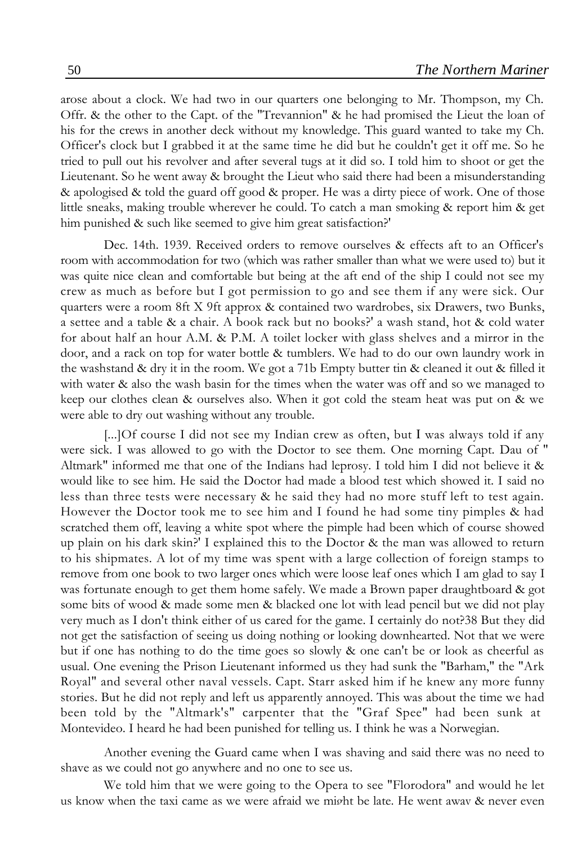arose about a clock. We had two in our quarters one belonging to Mr. Thompson, my Ch. Offr. & the other to the Capt. of the "Trevannion" & he had promised the Lieut the loan of his for the crews in another deck without my knowledge. This guard wanted to take my Ch. Officer's clock but I grabbed it at the same time he did but he couldn't get it off me. So he tried to pull out his revolver and after several tugs at it did so. I told him to shoot or get the Lieutenant. So he went away & brought the Lieut who said there had been a misunderstanding & apologised & told the guard off good & proper. He was a dirty piece of work. One of those little sneaks, making trouble wherever he could. To catch a man smoking & report him & get him punished & such like seemed to give him great satisfaction?'

Dec. 14th. 1939. Received orders to remove ourselves & effects aft to an Officer's room with accommodation for two (which was rather smaller than what we were used to) but it was quite nice clean and comfortable but being at the aft end of the ship I could not see my crew as much as before but I got permission to go and see them if any were sick. Our quarters were a room 8ft X 9ft approx & contained two wardrobes, six Drawers, two Bunks, a settee and a table & a chair. A book rack but no books?' a wash stand, hot & cold water for about half an hour A.M. & P.M. A toilet locker with glass shelves and a mirror in the door, and a rack on top for water bottle & tumblers. We had to do our own laundry work in the washstand & dry it in the room. We got a 71b Empty butter tin & cleaned it out & filled it with water & also the wash basin for the times when the water was off and so we managed to keep our clothes clean & ourselves also. When it got cold the steam heat was put on & we were able to dry out washing without any trouble.

[...]Of course I did not see my Indian crew as often, but I was always told if any were sick. I was allowed to go with the Doctor to see them. One morning Capt. Dau of " Altmark" informed me that one of the Indians had leprosy. I told him I did not believe it & would like to see him. He said the Doctor had made a blood test which showed it. I said no less than three tests were necessary & he said they had no more stuff left to test again. However the Doctor took me to see him and I found he had some tiny pimples & had scratched them off, leaving a white spot where the pimple had been which of course showed up plain on his dark skin?' I explained this to the Doctor & the man was allowed to return to his shipmates. A lot of my time was spent with a large collection of foreign stamps to remove from one book to two larger ones which were loose leaf ones which I am glad to say I was fortunate enough to get them home safely. We made a Brown paper draughtboard & got some bits of wood & made some men & blacked one lot with lead pencil but we did not play very much as I don't think either of us cared for the game. I certainly do not?38 But they did not get the satisfaction of seeing us doing nothing or looking downhearted. Not that we were but if one has nothing to do the time goes so slowly & one can't be or look as cheerful as usual. One evening the Prison Lieutenant informed us they had sunk the "Barham," the "Ark Royal" and several other naval vessels. Capt. Starr asked him if he knew any more funny stories. But he did not reply and left us apparently annoyed. This was about the time we had been told by the "Altmark's" carpenter that the "Graf Spee" had been sunk at Montevideo. I heard he had been punished for telling us. I think he was a Norwegian.

Another evening the Guard came when I was shaving and said there was no need to shave as we could not go anywhere and no one to see us.

We told him that we were going to the Opera to see "Florodora" and would he let us know when the taxi came as we were afraid we might be late. He went away & never even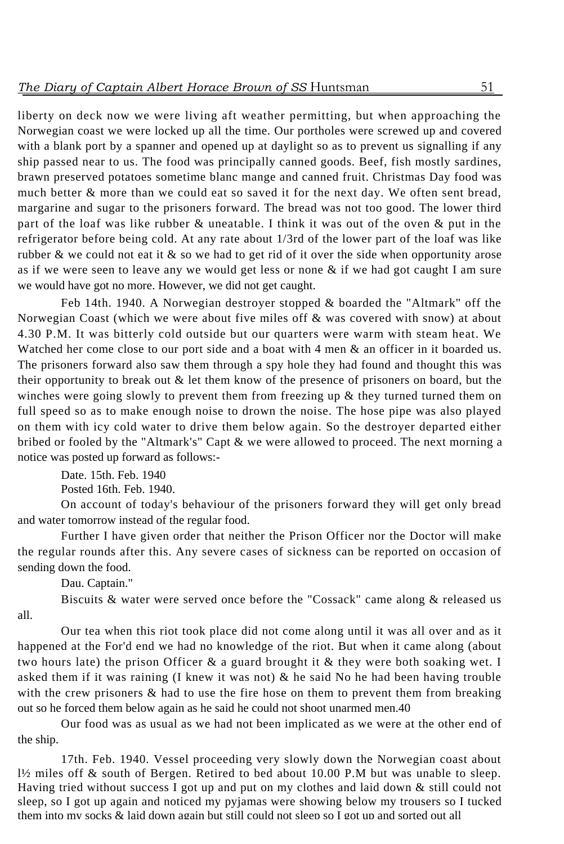liberty on deck now we were living aft weather permitting, but when approaching the Norwegian coast we were locked up all the time. Our portholes were screwed up and covered with a blank port by a spanner and opened up at daylight so as to prevent us signalling if any ship passed near to us. The food was principally canned goods. Beef, fish mostly sardines, brawn preserved potatoes sometime blanc mange and canned fruit. Christmas Day food was much better & more than we could eat so saved it for the next day. We often sent bread, margarine and sugar to the prisoners forward. The bread was not too good. The lower third part of the loaf was like rubber & uneatable. I think it was out of the oven & put in the refrigerator before being cold. At any rate about 1/3rd of the lower part of the loaf was like rubber & we could not eat it & so we had to get rid of it over the side when opportunity arose as if we were seen to leave any we would get less or none & if we had got caught I am sure we would have got no more. However, we did not get caught.

Feb 14th. 1940. A Norwegian destroyer stopped & boarded the "Altmark" off the Norwegian Coast (which we were about five miles off  $\&$  was covered with snow) at about 4.30 P.M. It was bitterly cold outside but our quarters were warm with steam heat. We Watched her come close to our port side and a boat with 4 men & an officer in it boarded us. The prisoners forward also saw them through a spy hole they had found and thought this was their opportunity to break out  $\&$  let them know of the presence of prisoners on board, but the winches were going slowly to prevent them from freezing up  $\&$  they turned turned them on full speed so as to make enough noise to drown the noise. The hose pipe was also played on them with icy cold water to drive them below again. So the destroyer departed either bribed or fooled by the "Altmark's" Capt & we were allowed to proceed. The next morning a notice was posted up forward as follows:-

Date. 15th. Feb. 1940 Posted 16th. Feb. 1940.

On account of today's behaviour of the prisoners forward they will get only bread and water tomorrow instead of the regular food.

Further I have given order that neither the Prison Officer nor the Doctor will make the regular rounds after this. Any severe cases of sickness can be reported on occasion of sending down the food.

Dau. Captain."

Biscuits & water were served once before the "Cossack" came along & released us all.

Our tea when this riot took place did not come along until it was all over and as it happened at the For'd end we had no knowledge of the riot. But when it came along (about two hours late) the prison Officer  $\&$  a guard brought it  $\&$  they were both soaking wet. I asked them if it was raining (I knew it was not)  $\&$  he said No he had been having trouble with the crew prisoners  $\&$  had to use the fire hose on them to prevent them from breaking out so he forced them below again as he said he could not shoot unarmed men.40

Our food was as usual as we had not been implicated as we were at the other end of the ship.

17th. Feb. 1940. Vessel proceeding very slowly down the Norwegian coast about l½ miles off & south of Bergen. Retired to bed about 10.00 P.M but was unable to sleep. Having tried without success I got up and put on my clothes and laid down & still could not sleep, so I got up again and noticed my pyjamas were showing below my trousers so I tucked them into my socks & laid down again but still could not sleep so I got up and sorted out all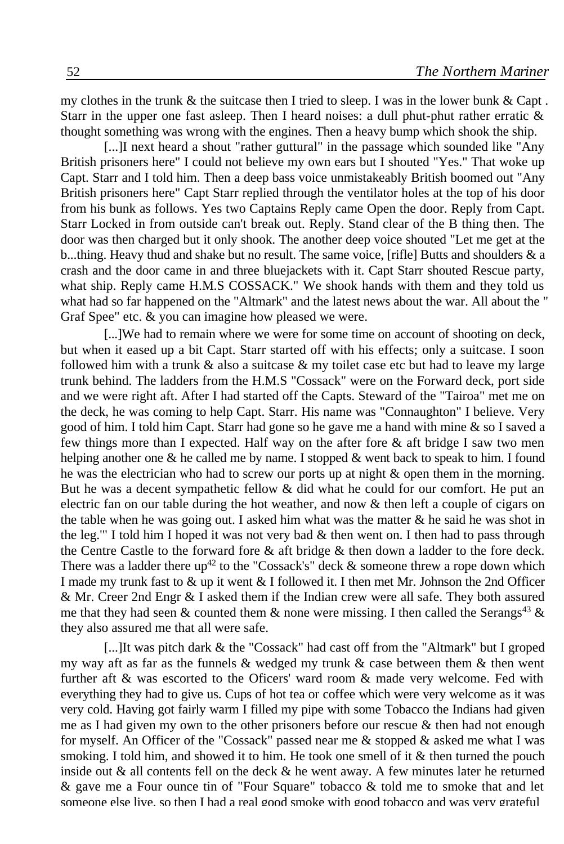my clothes in the trunk  $\&$  the suitcase then I tried to sleep. I was in the lower bunk  $\&$  Capt. Starr in the upper one fast asleep. Then I heard noises: a dull phut-phut rather erratic  $\&$ thought something was wrong with the engines. Then a heavy bump which shook the ship.

[...]I next heard a shout "rather guttural" in the passage which sounded like "Any" British prisoners here" I could not believe my own ears but I shouted "Yes." That woke up Capt. Starr and I told him. Then a deep bass voice unmistakeably British boomed out "Any British prisoners here" Capt Starr replied through the ventilator holes at the top of his door from his bunk as follows. Yes two Captains Reply came Open the door. Reply from Capt. Starr Locked in from outside can't break out. Reply. Stand clear of the B thing then. The door was then charged but it only shook. The another deep voice shouted "Let me get at the b...thing. Heavy thud and shake but no result. The same voice, [rifle] Butts and shoulders & a crash and the door came in and three bluejackets with it. Capt Starr shouted Rescue party, what ship. Reply came H.M.S COSSACK." We shook hands with them and they told us what had so far happened on the "Altmark" and the latest news about the war. All about the " Graf Spee" etc. & you can imagine how pleased we were.

[...]We had to remain where we were for some time on account of shooting on deck, but when it eased up a bit Capt. Starr started off with his effects; only a suitcase. I soon followed him with a trunk  $\&$  also a suitcase  $\&$  my toilet case etc but had to leave my large trunk behind. The ladders from the H.M.S "Cossack" were on the Forward deck, port side and we were right aft. After I had started off the Capts. Steward of the "Tairoa" met me on the deck, he was coming to help Capt. Starr. His name was "Connaughton" I believe. Very good of him. I told him Capt. Starr had gone so he gave me a hand with mine & so I saved a few things more than I expected. Half way on the after fore  $\&$  aft bridge I saw two men helping another one  $\&$  he called me by name. I stopped  $\&$  went back to speak to him. I found he was the electrician who had to screw our ports up at night & open them in the morning. But he was a decent sympathetic fellow  $\&$  did what he could for our comfort. He put an electric fan on our table during the hot weather, and now & then left a couple of cigars on the table when he was going out. I asked him what was the matter  $\&$  he said he was shot in the leg." I told him I hoped it was not very bad  $\&$  then went on. I then had to pass through the Centre Castle to the forward fore & aft bridge & then down a ladder to the fore deck. There was a ladder there up<sup>42</sup> to the "Cossack's" deck & someone threw a rope down which I made my trunk fast to & up it went & I followed it. I then met Mr. Johnson the 2nd Officer & Mr. Creer 2nd Engr & I asked them if the Indian crew were all safe. They both assured me that they had seen & counted them & none were missing. I then called the Serangs<sup>43</sup> & they also assured me that all were safe.

[...]It was pitch dark & the "Cossack" had cast off from the "Altmark" but I groped my way aft as far as the funnels  $\&$  wedged my trunk  $\&$  case between them  $\&$  then went further aft & was escorted to the Oficers' ward room & made very welcome. Fed with everything they had to give us. Cups of hot tea or coffee which were very welcome as it was very cold. Having got fairly warm I filled my pipe with some Tobacco the Indians had given me as I had given my own to the other prisoners before our rescue  $\&$  then had not enough for myself. An Officer of the "Cossack" passed near me  $\&$  stopped  $\&$  asked me what I was smoking. I told him, and showed it to him. He took one smell of it & then turned the pouch inside out  $\&$  all contents fell on the deck  $\&$  he went away. A few minutes later he returned  $\&$  gave me a Four ounce tin of "Four Square" tobacco  $\&$  told me to smoke that and let someone else live, so then I had a real good smoke with good tobacco and was very grateful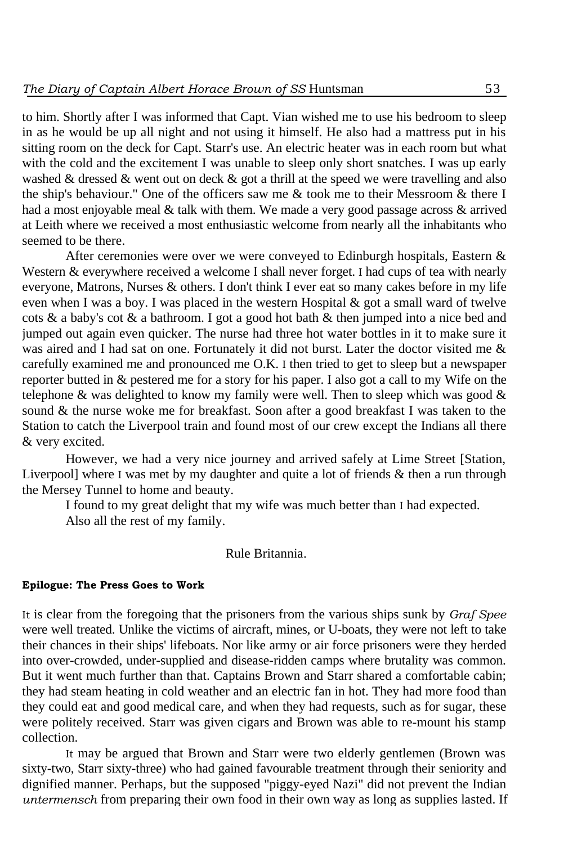to him. Shortly after I was informed that Capt. Vian wished me to use his bedroom to sleep in as he would be up all night and not using it himself. He also had a mattress put in his sitting room on the deck for Capt. Starr's use. An electric heater was in each room but what with the cold and the excitement I was unable to sleep only short snatches. I was up early washed & dressed & went out on deck & got a thrill at the speed we were travelling and also the ship's behaviour." One of the officers saw me & took me to their Messroom & there I had a most enjoyable meal & talk with them. We made a very good passage across & arrived at Leith where we received a most enthusiastic welcome from nearly all the inhabitants who seemed to be there.

After ceremonies were over we were conveyed to Edinburgh hospitals, Eastern & Western & everywhere received a welcome I shall never forget. I had cups of tea with nearly everyone, Matrons, Nurses & others. I don't think I ever eat so many cakes before in my life even when I was a boy. I was placed in the western Hospital  $\&$  got a small ward of twelve cots  $\&$  a baby's cot  $\&$  a bathroom. I got a good hot bath  $\&$  then jumped into a nice bed and jumped out again even quicker. The nurse had three hot water bottles in it to make sure it was aired and I had sat on one. Fortunately it did not burst. Later the doctor visited me & carefully examined me and pronounced me O.K. I then tried to get to sleep but a newspaper reporter butted in & pestered me for a story for his paper. I also got a call to my Wife on the telephone & was delighted to know my family were well. Then to sleep which was good  $\&$ sound & the nurse woke me for breakfast. Soon after a good breakfast I was taken to the Station to catch the Liverpool train and found most of our crew except the Indians all there & very excited.

However, we had a very nice journey and arrived safely at Lime Street [Station, Liverpool] where I was met by my daughter and quite a lot of friends & then a run through the Mersey Tunnel to home and beauty.

I found to my great delight that my wife was much better than I had expected. Also all the rest of my family.

Rule Britannia.

### **Epilogue: The Press Goes to Work**

It is clear from the foregoing that the prisoners from the various ships sunk by *Graf Spee* were well treated. Unlike the victims of aircraft, mines, or U-boats, they were not left to take their chances in their ships' lifeboats. Nor like army or air force prisoners were they herded into over-crowded, under-supplied and disease-ridden camps where brutality was common. But it went much further than that. Captains Brown and Starr shared a comfortable cabin; they had steam heating in cold weather and an electric fan in hot. They had more food than they could eat and good medical care, and when they had requests, such as for sugar, these were politely received. Starr was given cigars and Brown was able to re-mount his stamp collection.

It may be argued that Brown and Starr were two elderly gentlemen (Brown was sixty-two, Starr sixty-three) who had gained favourable treatment through their seniority and dignified manner. Perhaps, but the supposed "piggy-eyed Nazi" did not prevent the Indian *untermensch* from preparing their own food in their own way as long as supplies lasted. If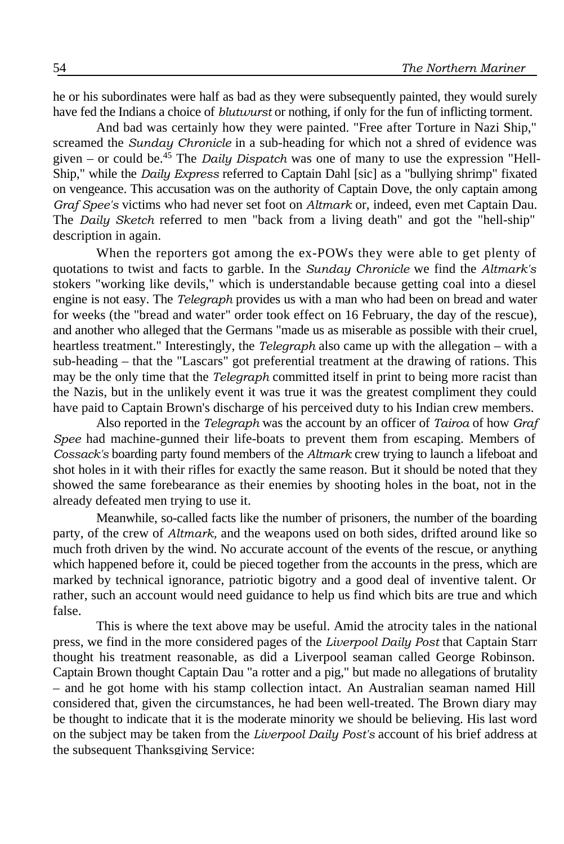he or his subordinates were half as bad as they were subsequently painted, they would surely have fed the Indians a choice of *blutwurst* or nothing, if only for the fun of inflicting torment.

And bad was certainly how they were painted. "Free after Torture in Nazi Ship," screamed the *Sunday Chronicle* in a sub-heading for which not a shred of evidence was given – or could be.<sup>45</sup> The *Daily Dispatch* was one of many to use the expression "Hell-Ship," while the *Daily Express* referred to Captain Dahl [sic] as a "bullying shrimp" fixated on vengeance. This accusation was on the authority of Captain Dove, the only captain among *Graf Spee's* victims who had never set foot on *Altmark* or, indeed, even met Captain Dau. The *Daily Sketch* referred to men "back from a living death" and got the "hell-ship" description in again.

When the reporters got among the ex-POWs they were able to get plenty of quotations to twist and facts to garble. In the *Sunday Chronicle* we find the *Altmark's* stokers "working like devils," which is understandable because getting coal into a diesel engine is not easy. The *Telegraph* provides us with a man who had been on bread and water for weeks (the "bread and water" order took effect on 16 February, the day of the rescue), and another who alleged that the Germans "made us as miserable as possible with their cruel, heartless treatment." Interestingly, the *Telegraph* also came up with the allegation – with a sub-heading – that the "Lascars" got preferential treatment at the drawing of rations. This may be the only time that the *Telegraph* committed itself in print to being more racist than the Nazis, but in the unlikely event it was true it was the greatest compliment they could have paid to Captain Brown's discharge of his perceived duty to his Indian crew members.

Also reported in the *Telegraph* was the account by an officer of *Tairoa* of how *Graf Spee* had machine-gunned their life-boats to prevent them from escaping. Members of *Cossack's* boarding party found members of the *Altmark* crew trying to launch a lifeboat and shot holes in it with their rifles for exactly the same reason. But it should be noted that they showed the same forebearance as their enemies by shooting holes in the boat, not in the already defeated men trying to use it.

Meanwhile, so-called facts like the number of prisoners, the number of the boarding party, of the crew of *Altmark,* and the weapons used on both sides, drifted around like so much froth driven by the wind. No accurate account of the events of the rescue, or anything which happened before it, could be pieced together from the accounts in the press, which are marked by technical ignorance, patriotic bigotry and a good deal of inventive talent. Or rather, such an account would need guidance to help us find which bits are true and which false.

This is where the text above may be useful. Amid the atrocity tales in the national press, we find in the more considered pages of the *Liverpool Daily Post* that Captain Starr thought his treatment reasonable, as did a Liverpool seaman called George Robinson. Captain Brown thought Captain Dau "a rotter and a pig," but made no allegations of brutality – and he got home with his stamp collection intact. An Australian seaman named Hill considered that, given the circumstances, he had been well-treated. The Brown diary may be thought to indicate that it is the moderate minority we should be believing. His last word on the subject may be taken from the *Liverpool Daily Post's* account of his brief address at the subsequent Thanksgiving Service: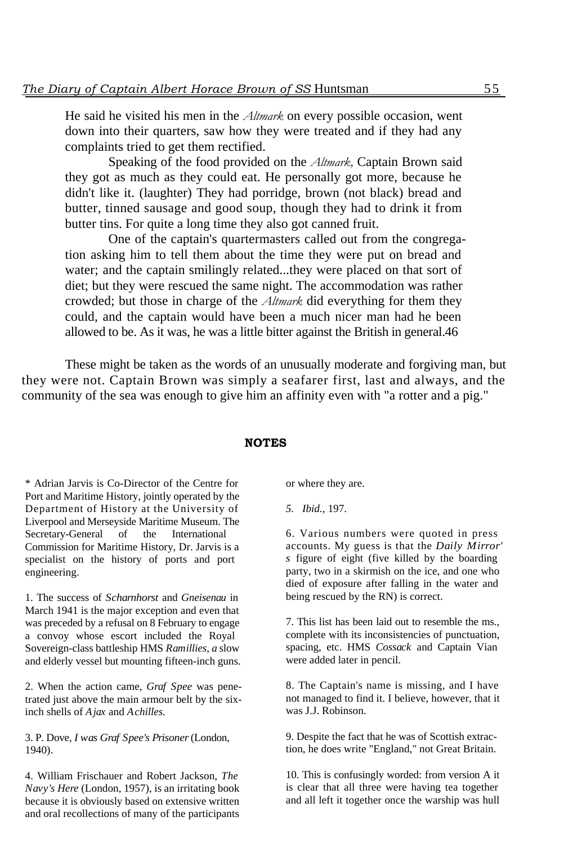He said he visited his men in the *Altmark* on every possible occasion, went down into their quarters, saw how they were treated and if they had any complaints tried to get them rectified.

Speaking of the food provided on the *Altmark,* Captain Brown said they got as much as they could eat. He personally got more, because he didn't like it. (laughter) They had porridge, brown (not black) bread and butter, tinned sausage and good soup, though they had to drink it from butter tins. For quite a long time they also got canned fruit.

One of the captain's quartermasters called out from the congregation asking him to tell them about the time they were put on bread and water; and the captain smilingly related...they were placed on that sort of diet; but they were rescued the same night. The accommodation was rather crowded; but those in charge of the *Altmark* did everything for them they could, and the captain would have been a much nicer man had he been allowed to be. As it was, he was a little bitter against the British in general.46

These might be taken as the words of an unusually moderate and forgiving man, but they were not. Captain Brown was simply a seafarer first, last and always, and the community of the sea was enough to give him an affinity even with "a rotter and a pig."

#### **NOTES**

\* Adrian Jarvis is Co-Director of the Centre for Port and Maritime History, jointly operated by the Department of History at the University of Liverpool and Merseyside Maritime Museum. The Secretary-General of the International Commission for Maritime History, Dr. Jarvis is a specialist on the history of ports and port engineering.

1. The success of *Scharnhorst* and *Gneisenau* in March 1941 is the major exception and even that was preceded by a refusal on 8 February to engage a convoy whose escort included the Royal Sovereign-class battleship HMS *Ramillies, a* slow and elderly vessel but mounting fifteen-inch guns.

2. When the action came, *Graf Spee* was penetrated just above the main armour belt by the sixinch shells of *Ajax* and *Achilles.*

3. P. Dove, *I was Graf Spee's Prisoner* (London, 1940).

4. William Frischauer and Robert Jackson, *The Navy's Here* (London, 1957), is an irritating book because it is obviously based on extensive written and oral recollections of many of the participants

or where they are.

*5. Ibid.,* 197.

6. Various numbers were quoted in press accounts. My guess is that the *Daily Mirror' s* figure of eight (five killed by the boarding party, two in a skirmish on the ice, and one who died of exposure after falling in the water and being rescued by the RN) is correct.

7. This list has been laid out to resemble the ms., complete with its inconsistencies of punctuation, spacing, etc. HMS *Cossack* and Captain Vian were added later in pencil.

8. The Captain's name is missing, and I have not managed to find it. I believe, however, that it was J.J. Robinson.

9. Despite the fact that he was of Scottish extraction, he does write "England," not Great Britain.

10. This is confusingly worded: from version A it is clear that all three were having tea together and all left it together once the warship was hull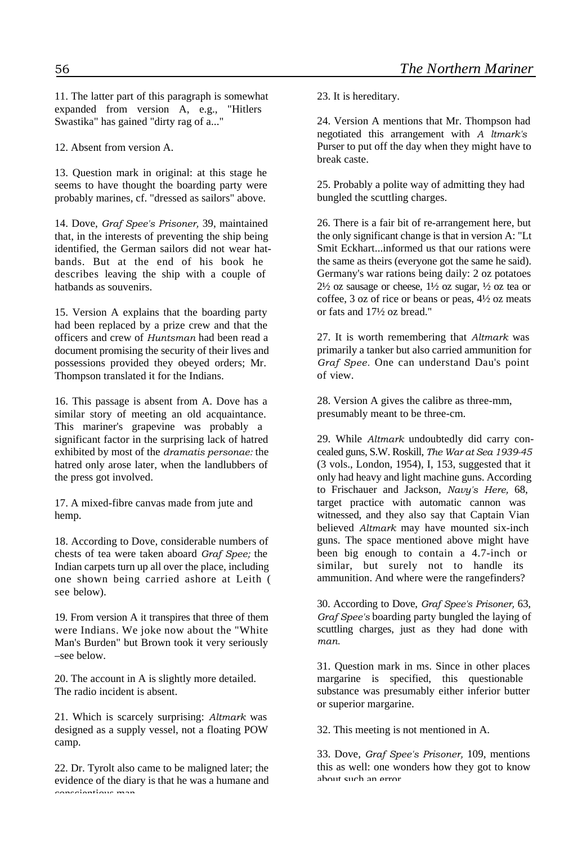11. The latter part of this paragraph is somewhat expanded from version A, e.g., "Hitlers Swastika" has gained "dirty rag of a..."

12. Absent from version A.

13. Question mark in original: at this stage he seems to have thought the boarding party were probably marines, cf. "dressed as sailors" above.

14. Dove, *Graf Spee's Prisoner,* 39, maintained that, in the interests of preventing the ship being identified, the German sailors did not wear hatbands. But at the end of his book he describes leaving the ship with a couple of hatbands as souvenirs.

15. Version A explains that the boarding party had been replaced by a prize crew and that the officers and crew of *Huntsman* had been read a document promising the security of their lives and possessions provided they obeyed orders; Mr. Thompson translated it for the Indians.

16. This passage is absent from A. Dove has a similar story of meeting an old acquaintance. This mariner's grapevine was probably a significant factor in the surprising lack of hatred exhibited by most of the *dramatis personae:* the hatred only arose later, when the landlubbers of the press got involved.

17. A mixed-fibre canvas made from jute and hemp.

18. According to Dove, considerable numbers of chests of tea were taken aboard *Graf Spee;* the Indian carpets turn up all over the place, including one shown being carried ashore at Leith ( see below).

19. From version A it transpires that three of them were Indians. We joke now about the "White Man's Burden" but Brown took it very seriously –see below.

20. The account in A is slightly more detailed. The radio incident is absent.

21. Which is scarcely surprising: *Altmark* was designed as a supply vessel, not a floating POW camp.

22. Dr. Tyrolt also came to be maligned later; the evidence of the diary is that he was a humane and conscientious man.

23. It is hereditary.

24. Version A mentions that Mr. Thompson had negotiated this arrangement with *A ltmark's* Purser to put off the day when they might have to break caste.

25. Probably a polite way of admitting they had bungled the scuttling charges.

26. There is a fair bit of re-arrangement here, but the only significant change is that in version A: "Lt Smit Eckhart...informed us that our rations were the same as theirs (everyone got the same he said). Germany's war rations being daily: 2 oz potatoes  $2\frac{1}{2}$  oz sausage or cheese,  $1\frac{1}{2}$  oz sugar,  $\frac{1}{2}$  oz tea or coffee, 3 oz of rice or beans or peas, 4½ oz meats or fats and 17½ oz bread."

27. It is worth remembering that *Altmark* was primarily a tanker but also carried ammunition for *Graf Spee.* One can understand Dau's point of view.

28. Version A gives the calibre as three-mm, presumably meant to be three-cm.

29. While *Altmark* undoubtedly did carry concealed guns, S.W. Roskill, *The War at Sea 1939-45* (3 vols., London, 1954), I, 153, suggested that it only had heavy and light machine guns. According to Frischauer and Jackson, *Navy's Here,* 68, target practice with automatic cannon was witnessed, and they also say that Captain Vian believed *Altmark* may have mounted six-inch guns. The space mentioned above might have been big enough to contain a 4.7-inch or similar, but surely not to handle its ammunition. And where were the rangefinders?

30. According to Dove, *Graf Spee's Prisoner,* 63, *Graf Spee's* boarding party bungled the laying of scuttling charges, just as they had done with *man.*

31. Question mark in ms. Since in other places margarine is specified, this questionable substance was presumably either inferior butter or superior margarine.

32. This meeting is not mentioned in A.

33. Dove, *Graf Spee's Prisoner,* 109, mentions this as well: one wonders how they got to know about such an error.